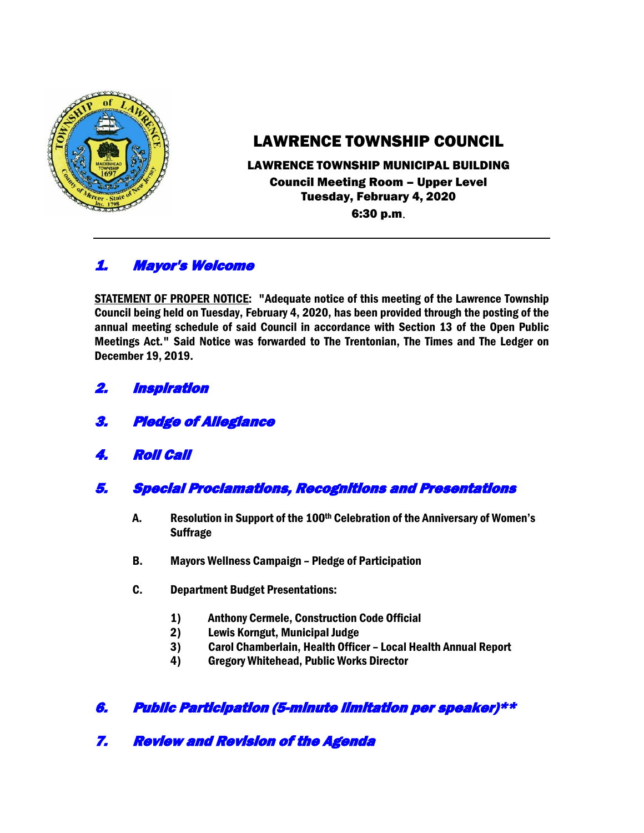

# LAWRENCE TOWNSHIP COUNCIL

## LAWRENCE TOWNSHIP MUNICIPAL BUILDING Council Meeting Room – Upper Level Tuesday, February 4, 2020 6:30 p.m.

# 1. Mayor's Welcome

STATEMENT OF PROPER NOTICE: "Adequate notice of this meeting of the Lawrence Township Council being held on Tuesday, February 4, 2020, has been provided through the posting of the annual meeting schedule of said Council in accordance with Section 13 of the Open Public Meetings Act." Said Notice was forwarded to The Trentonian, The Times and The Ledger on December 19, 2019.

- 2. Inspiration
- 3. Pledge of Allegiance
- 4. Roll Call
- 5. Special Proclamations, Recognitions and Presentations
	- A. Resolution in Support of the 100th Celebration of the Anniversary of Women's **Suffrage**
	- B. Mayors Wellness Campaign Pledge of Participation
	- C. Department Budget Presentations:
		- 1) Anthony Cermele, Construction Code Official
		- 2) Lewis Korngut, Municipal Judge
		- 3) Carol Chamberlain, Health Officer Local Health Annual Report
		- 4) Gregory Whitehead, Public Works Director

# 6. Public Participation (5-minute limitation per speaker)\*\*

7. Review and Revision of the Agenda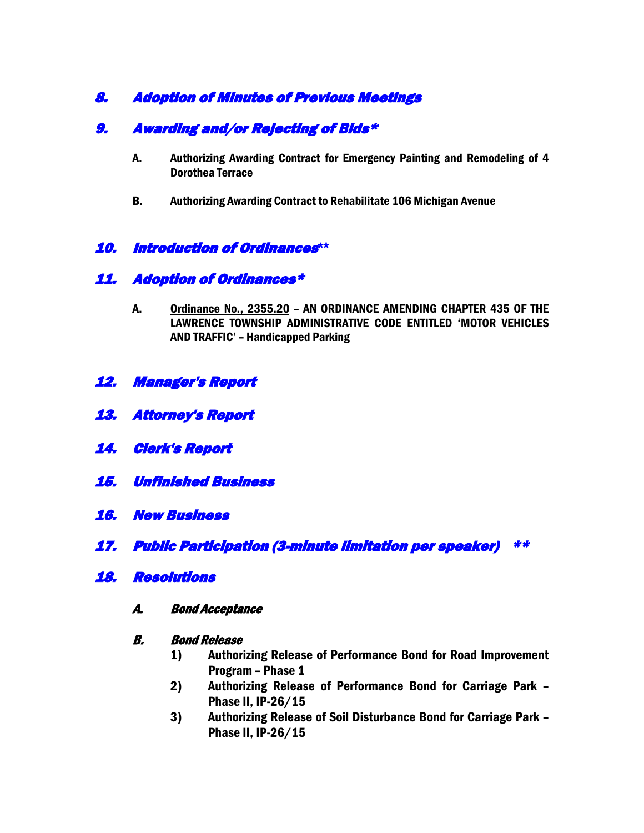# 8. Adoption of Minutes of Previous Meetings

# 9. Awarding and/or Rejecting of Bids\*

- A. Authorizing Awarding Contract for Emergency Painting and Remodeling of 4 Dorothea Terrace
- B. Authorizing Awarding Contract to Rehabilitate 106 Michigan Avenue

## 10. Introduction of Ordinances**\*\***

## 11. Adoption of Ordinances\*

- A. Ordinance No., 2355.20 AN ORDINANCE AMENDING CHAPTER 435 OF THE LAWRENCE TOWNSHIP ADMINISTRATIVE CODE ENTITLED 'MOTOR VEHICLES AND TRAFFIC' – Handicapped Parking
- 12. Manager's Report
- 13. Attorney's Report
- 14. Clerk's Report
- 15. Unfinished Business
- 16. New Business
- 17. Public Participation (3-minute limitation per speaker) \*\*
- 18. Resolutions
	- A. Bond Acceptance

#### B. Bond Release

- 1) Authorizing Release of Performance Bond for Road Improvement Program – Phase 1
- 2) Authorizing Release of Performance Bond for Carriage Park Phase II, IP-26/15
- 3) Authorizing Release of Soil Disturbance Bond for Carriage Park Phase II, IP-26/15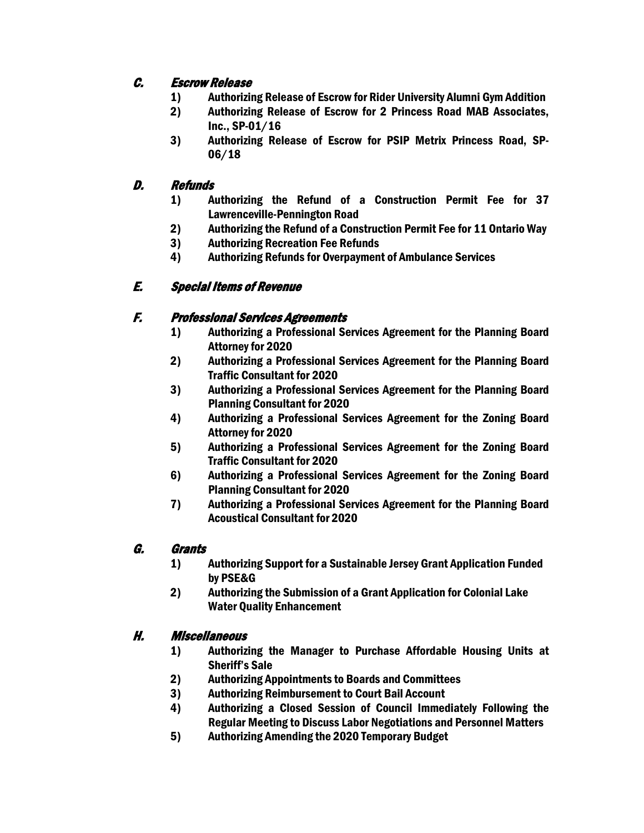# C. Escrow Release

- 1) Authorizing Release of Escrow for Rider University Alumni Gym Addition
- 2) Authorizing Release of Escrow for 2 Princess Road MAB Associates, Inc., SP-01/16
- 3) Authorizing Release of Escrow for PSIP Metrix Princess Road, SP-06/18

## D. Refunds

- 1) Authorizing the Refund of a Construction Permit Fee for 37 Lawrenceville-Pennington Road
- 2) Authorizing the Refund of a Construction Permit Fee for 11 Ontario Way
- 3) Authorizing Recreation Fee Refunds
- 4) Authorizing Refunds for Overpayment of Ambulance Services

## E. Special Items of Revenue

### F. Professional Services Agreements

- 1) Authorizing a Professional Services Agreement for the Planning Board Attorney for 2020
- 2) Authorizing a Professional Services Agreement for the Planning Board Traffic Consultant for 2020
- 3) Authorizing a Professional Services Agreement for the Planning Board Planning Consultant for 2020
- 4) Authorizing a Professional Services Agreement for the Zoning Board Attorney for 2020
- 5) Authorizing a Professional Services Agreement for the Zoning Board Traffic Consultant for 2020
- 6) Authorizing a Professional Services Agreement for the Zoning Board Planning Consultant for 2020
- 7) Authorizing a Professional Services Agreement for the Planning Board Acoustical Consultant for 2020

### G. Grants

- 1) Authorizing Support for a Sustainable Jersey Grant Application Funded by PSE&G
- 2) Authorizing the Submission of a Grant Application for Colonial Lake Water Quality Enhancement

### H. Miscellaneous

- 1) Authorizing the Manager to Purchase Affordable Housing Units at Sheriff's Sale
- 2) Authorizing Appointments to Boards and Committees
- 3) Authorizing Reimbursement to Court Bail Account
- 4) Authorizing a Closed Session of Council Immediately Following the Regular Meeting to Discuss Labor Negotiations and Personnel Matters
- 5) Authorizing Amending the 2020 Temporary Budget